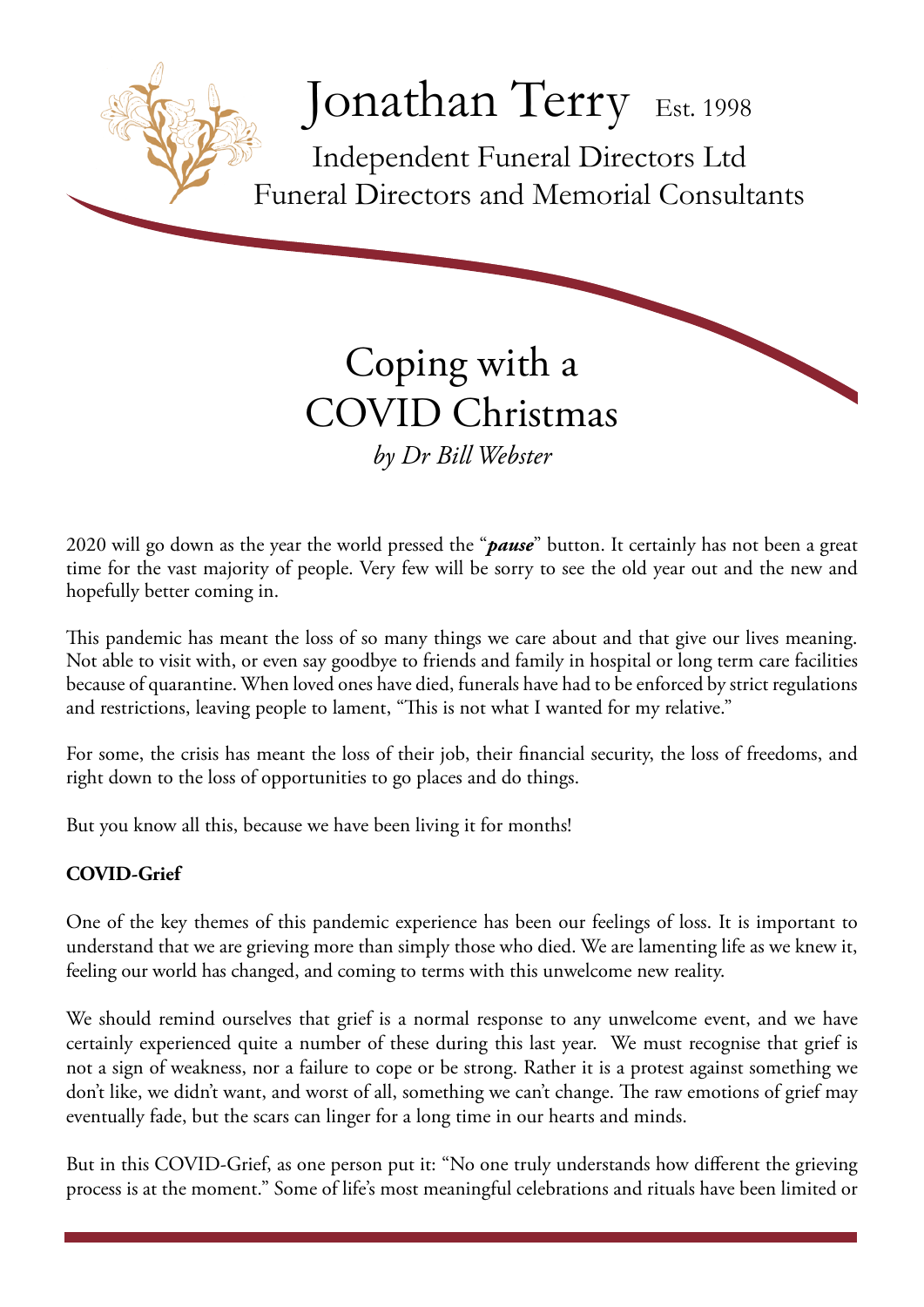

# Coping with a COVID Christmas *by Dr Bill Webster*

2020 will go down as the year the world pressed the "*pause*" button. It certainly has not been a great time for the vast majority of people. Very few will be sorry to see the old year out and the new and hopefully better coming in.

This pandemic has meant the loss of so many things we care about and that give our lives meaning. Not able to visit with, or even say goodbye to friends and family in hospital or long term care facilities because of quarantine. When loved ones have died, funerals have had to be enforced by strict regulations and restrictions, leaving people to lament, "This is not what I wanted for my relative."

For some, the crisis has meant the loss of their job, their financial security, the loss of freedoms, and right down to the loss of opportunities to go places and do things.

But you know all this, because we have been living it for months!

## **COVID-Grief**

One of the key themes of this pandemic experience has been our feelings of loss. It is important to understand that we are grieving more than simply those who died. We are lamenting life as we knew it, feeling our world has changed, and coming to terms with this unwelcome new reality.

We should remind ourselves that grief is a normal response to any unwelcome event, and we have certainly experienced quite a number of these during this last year. We must recognise that grief is not a sign of weakness, nor a failure to cope or be strong. Rather it is a protest against something we don't like, we didn't want, and worst of all, something we can't change. The raw emotions of grief may eventually fade, but the scars can linger for a long time in our hearts and minds.

But in this COVID-Grief, as one person put it: "No one truly understands how different the grieving process is at the moment." Some of life's most meaningful celebrations and rituals have been limited or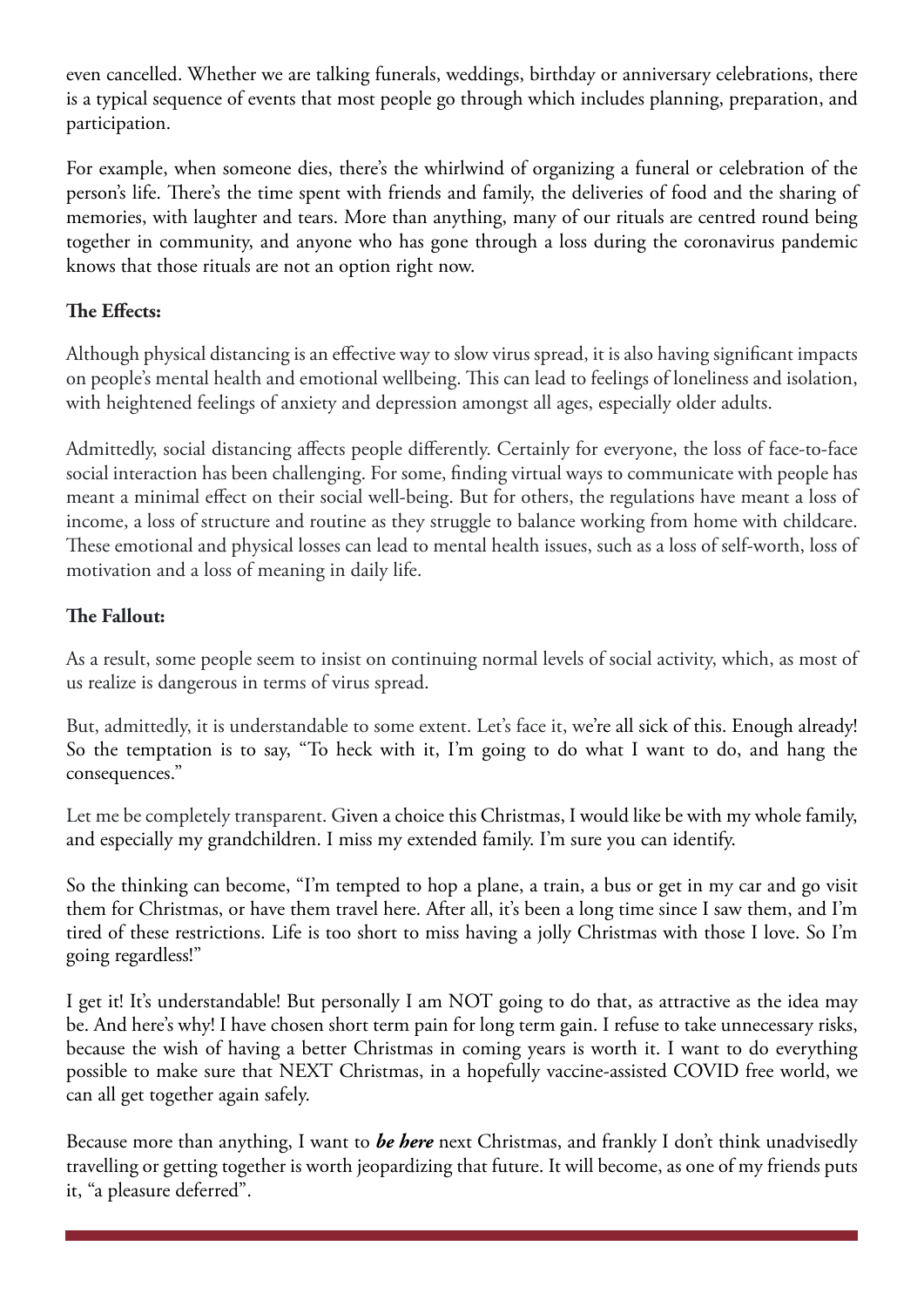even cancelled. Whether we are talking funerals, weddings, birthday or anniversary celebrations, there is a typical sequence of events that most people go through which includes planning, preparation, and participation.

For example, when someone dies, there's the whirlwind of organizing a funeral or celebration of the person's life. There's the time spent with friends and family, the deliveries of food and the sharing of memories, with laughter and tears. More than anything, many of our rituals are centred round being together in community, and anyone who has gone through a loss during the coronavirus pandemic knows that those rituals are not an option right now.

## **The Effects:**

Although physical distancing is an effective way to slow virus spread, it is also having significant impacts on people's mental health and emotional wellbeing. This can lead to feelings of loneliness and isolation, with heightened feelings of anxiety and depression amongst all ages, especially older adults.

Admittedly, social distancing affects people differently. Certainly for everyone, the loss of face-to-face social interaction has been challenging. For some, finding virtual ways to communicate with people has meant a minimal effect on their social well-being. But for others, the regulations have meant a loss of income, a loss of structure and routine as they struggle to balance working from home with childcare. These emotional and physical losses can lead to mental health issues, such as a loss of self-worth, loss of motivation and a loss of meaning in daily life.

### **The Fallout:**

As a result, some people seem to insist on continuing normal levels of social activity, which, as most of us realize is dangerous in terms of virus spread.

But, admittedly, it is understandable to some extent. Let's face it, we're all sick of this. Enough already! So the temptation is to say, "To heck with it, I'm going to do what I want to do, and hang the consequences."

Let me be completely transparent. Given a choice this Christmas, I would like be with my whole family, and especially my grandchildren. I miss my extended family. I'm sure you can identify.

So the thinking can become, "I'm tempted to hop a plane, a train, a bus or get in my car and go visit them for Christmas, or have them travel here. After all, it's been a long time since I saw them, and I'm tired of these restrictions. Life is too short to miss having a jolly Christmas with those I love. So I'm going regardless!"

I get it! It's understandable! But personally I am NOT going to do that, as attractive as the idea may be. And here's why! I have chosen short term pain for long term gain. I refuse to take unnecessary risks, because the wish of having a better Christmas in coming years is worth it. I want to do everything possible to make sure that NEXT Christmas, in a hopefully vaccine-assisted COVID free world, we can all get together again safely.

Because more than anything, I want to *be here* next Christmas, and frankly I don't think unadvisedly travelling or getting together is worth jeopardizing that future. It will become, as one of my friends puts it, "a pleasure deferred".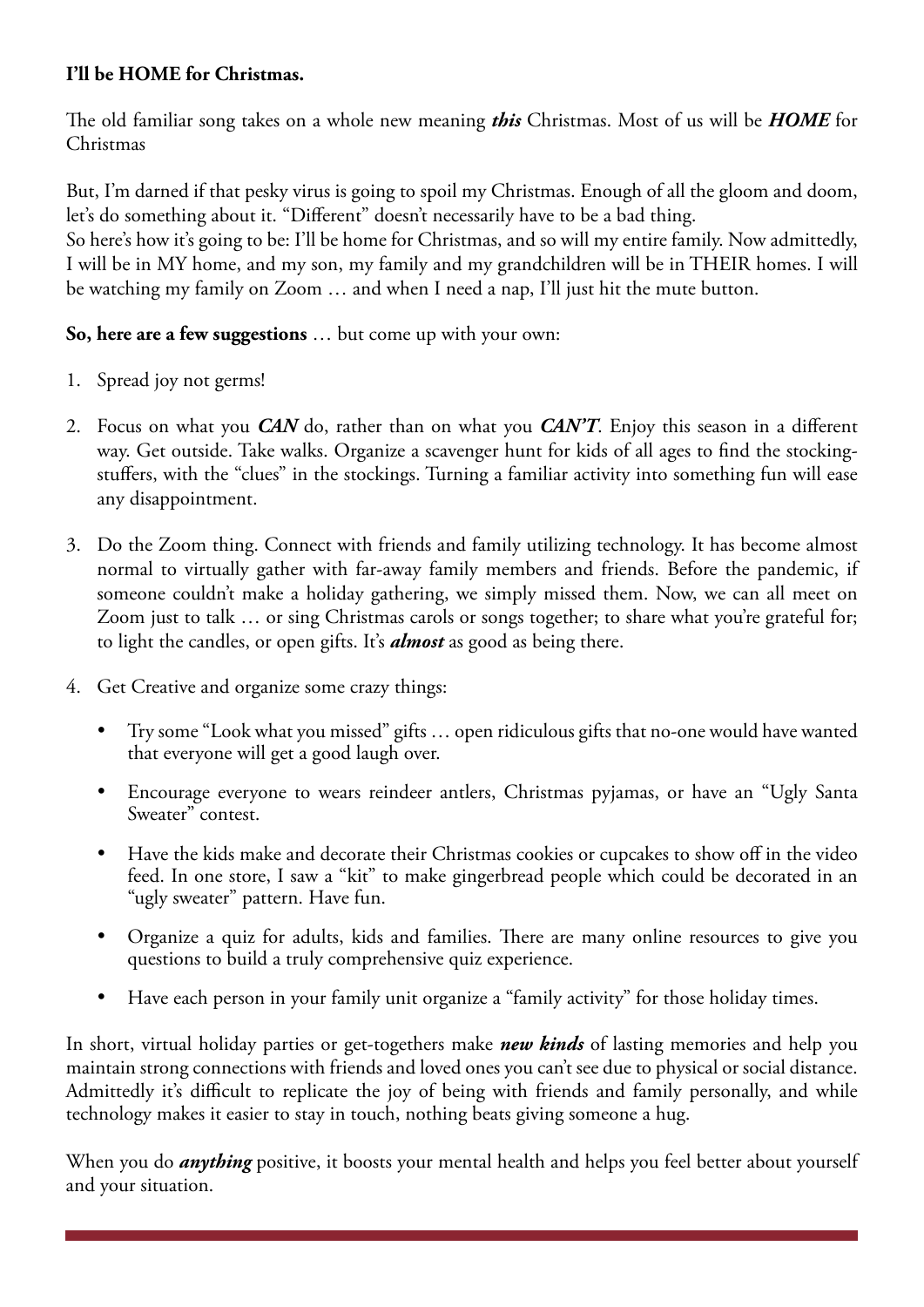## **I'll be HOME for Christmas.**

The old familiar song takes on a whole new meaning *this* Christmas. Most of us will be *HOME* for Christmas

But, I'm darned if that pesky virus is going to spoil my Christmas. Enough of all the gloom and doom, let's do something about it. "Different" doesn't necessarily have to be a bad thing.

So here's how it's going to be: I'll be home for Christmas, and so will my entire family. Now admittedly, I will be in MY home, and my son, my family and my grandchildren will be in THEIR homes. I will be watching my family on Zoom … and when I need a nap, I'll just hit the mute button.

## **So, here are a few suggestions** … but come up with your own:

- 1. Spread joy not germs!
- 2. Focus on what you *CAN* do, rather than on what you *CAN'T*. Enjoy this season in a different way. Get outside. Take walks. Organize a scavenger hunt for kids of all ages to find the stockingstuffers, with the "clues" in the stockings. Turning a familiar activity into something fun will ease any disappointment.
- 3. Do the Zoom thing. Connect with friends and family utilizing technology. It has become almost normal to virtually gather with far-away family members and friends. Before the pandemic, if someone couldn't make a holiday gathering, we simply missed them. Now, we can all meet on Zoom just to talk … or sing Christmas carols or songs together; to share what you're grateful for; to light the candles, or open gifts. It's *almost* as good as being there.
- 4. Get Creative and organize some crazy things:
	- • Try some "Look what you missed" gifts … open ridiculous gifts that no-one would have wanted that everyone will get a good laugh over.
	- Encourage everyone to wears reindeer antlers, Christmas pyjamas, or have an "Ugly Santa Sweater" contest.
	- Have the kids make and decorate their Christmas cookies or cupcakes to show off in the video feed. In one store, I saw a "kit" to make gingerbread people which could be decorated in an "ugly sweater" pattern. Have fun.
	- Organize a quiz for adults, kids and families. There are many online resources to give you questions to build a truly comprehensive quiz experience.
	- Have each person in your family unit organize a "family activity" for those holiday times.

In short, virtual holiday parties or get-togethers make *new kinds* of lasting memories and help you maintain strong connections with friends and loved ones you can't see due to physical or social distance. Admittedly it's difficult to replicate the joy of being with friends and family personally, and while technology makes it easier to stay in touch, nothing beats giving someone a hug.

When you do *anything* positive, it boosts your mental health and helps you feel better about yourself and your situation.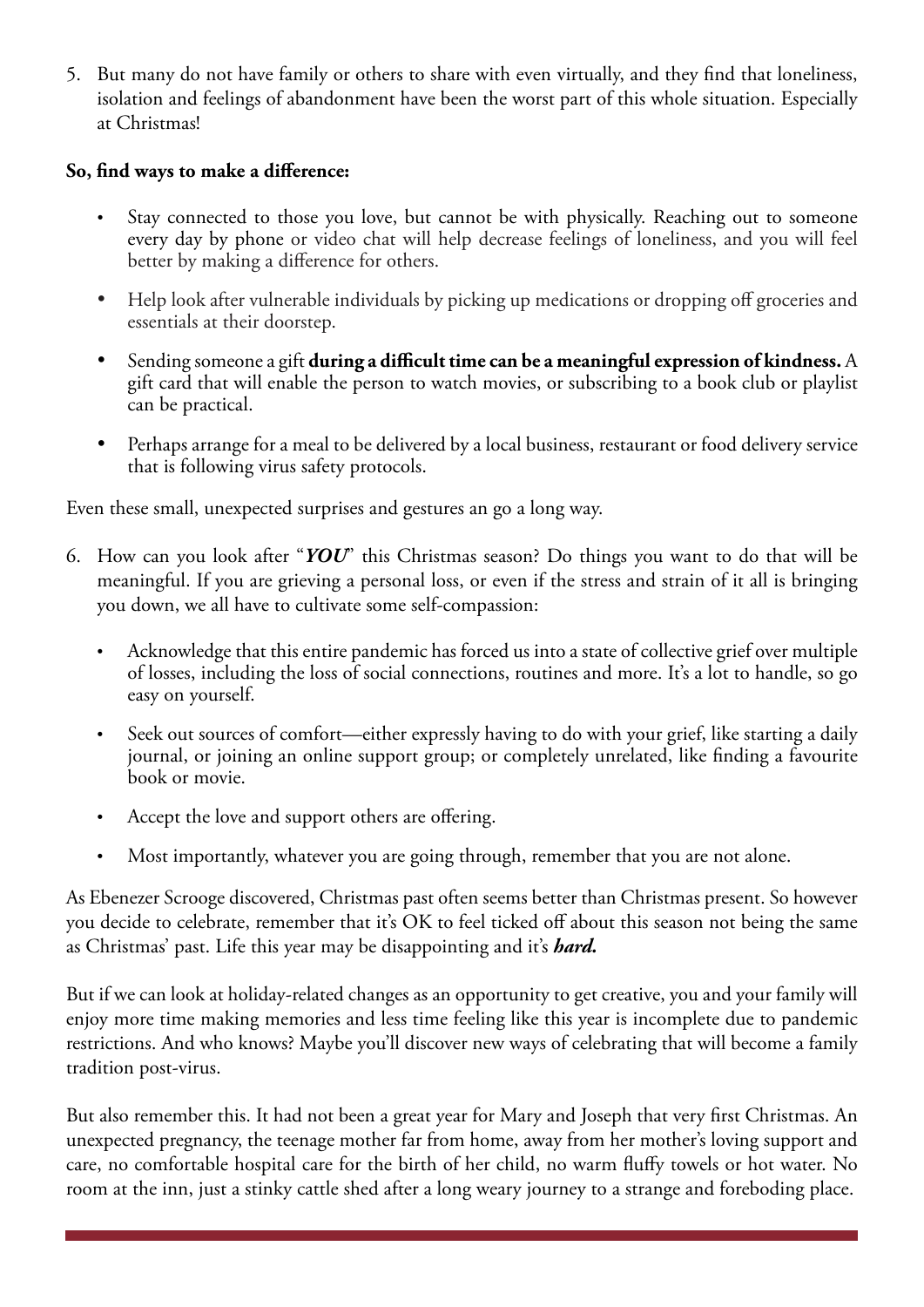5. But many do not have family or others to share with even virtually, and they find that loneliness, isolation and feelings of abandonment have been the worst part of this whole situation. Especially at Christmas!

#### **So, find ways to make a difference:**

- Stay connected to those you love, but cannot be with physically. Reaching out to someone every day by phone or video chat will help decrease feelings of loneliness, and you will feel better by making a difference for others.
- Help look after vulnerable individuals by picking up medications or dropping off groceries and essentials at their doorstep.
- Sending someone a [gift](https://www.businessinsider.com/best-gift-ideas) **during a difficult time can be a meaningful expression of kindness.** A gift card that will enable the person to watch movies, or subscribing to a book club or playlist can be practical.
- Perhaps arrange for a meal to be delivered by a local business, restaurant or food delivery service that is following virus safety protocols.

Even these small, unexpected surprises and gestures an go a long way.

- 6. How can you look after "*YOU*" this Christmas season? Do things you want to do that will be meaningful. If you are grieving a personal loss, or even if the stress and strain of it all is bringing you down, we all have to cultivate some self-compassion:
	- Acknowledge that this entire pandemic has forced us into a state of collective grief over multiple of losses, including the loss of social connections, routines and more. It's a lot to handle, so go easy on yourself.
	- Seek out sources of comfort—either expressly having to do with your grief, like starting a daily journal, or joining an online support group; or completely unrelated, like finding a favourite book or movie.
	- Accept the love and support others are offering.
	- Most importantly, whatever you are going through, remember that you are not alone.

As Ebenezer Scrooge discovered, Christmas past often seems better than Christmas present. So however you decide to celebrate, remember that it's OK to feel ticked off about this season not being the same as Christmas' past. Life this year may be disappointing and it's *hard.*

But if we can look at holiday-related changes as an opportunity to get creative, you and your family will enjoy more time making memories and less time feeling like this year is incomplete due to pandemic restrictions. And who knows? Maybe you'll discover new ways of celebrating that will become a family tradition post-virus.

But also remember this. It had not been a great year for Mary and Joseph that very first Christmas. An unexpected pregnancy, the teenage mother far from home, away from her mother's loving support and care, no comfortable hospital care for the birth of her child, no warm fluffy towels or hot water. No room at the inn, just a stinky cattle shed after a long weary journey to a strange and foreboding place.